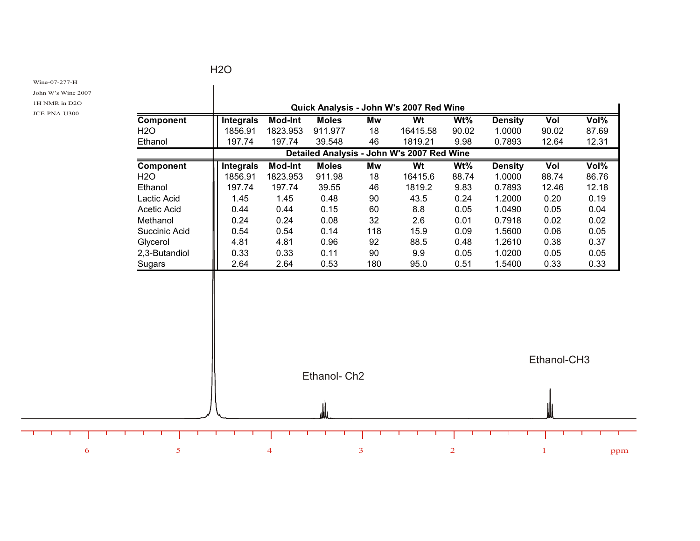## H2O

Wine-07-277-H

John W's Wine 2007

1H NMR in D2O

JCE-PNA-U300

т ┰

| Component        |                          | Quick Analysis - John W's 2007 Red Wine<br>Wt<br>$Wt\%$<br>Vol%<br><b>Integrals</b> |                         |          |                                            |       |                          |              |       |  |
|------------------|--------------------------|-------------------------------------------------------------------------------------|-------------------------|----------|--------------------------------------------|-------|--------------------------|--------------|-------|--|
| <b>H2O</b>       | 1856.91                  | <b>Mod-Int</b><br>1823.953                                                          | <b>Moles</b><br>911.977 | Mw<br>18 | 16415.58                                   | 90.02 | <b>Density</b><br>1.0000 | Vol<br>90.02 | 87.69 |  |
| Ethanol          | 197.74                   | 197.74                                                                              | 39.548                  | 46       | 1819.21                                    | 9.98  | 0.7893                   | 12.64        | 12.31 |  |
|                  |                          |                                                                                     |                         |          | Detailed Analysis - John W's 2007 Red Wine |       |                          |              |       |  |
| <b>Component</b> | <b>Integrals</b>         | <b>Mod-Int</b>                                                                      | <b>Moles</b>            | Mw       | Wt                                         | Wt%   | <b>Density</b>           | Vol          | Vol%  |  |
| <b>H2O</b>       | 1856.91                  | 1823.953                                                                            | 911.98                  | 18       | 16415.6                                    | 88.74 | 1.0000                   | 88.74        | 86.76 |  |
| Ethanol          | 197.74                   | 197.74                                                                              | 39.55                   | 46       | 1819.2                                     | 9.83  | 0.7893                   | 12.46        | 12.18 |  |
| Lactic Acid      | 1.45                     | 1.45                                                                                | 0.48                    | 90       | 43.5                                       | 0.24  | 1.2000                   | 0.20         | 0.19  |  |
| Acetic Acid      | 0.44                     | 0.44                                                                                | 0.15                    | 60       | 8.8                                        | 0.05  | 1.0490                   | 0.05         | 0.04  |  |
| Methanol         | 0.24                     | 0.24                                                                                | 0.08                    | 32       | 2.6                                        | 0.01  | 0.7918                   | 0.02         | 0.02  |  |
| Succinic Acid    | 0.54                     | 0.54                                                                                | 0.14                    | 118      | 15.9                                       | 0.09  | 1.5600                   | 0.06         | 0.05  |  |
| Glycerol         | 4.81                     | 4.81                                                                                | 0.96                    | 92       | 88.5                                       | 0.48  | 1.2610                   | 0.38         | 0.37  |  |
| 2,3-Butandiol    | 0.33                     | 0.33                                                                                | 0.11                    | 90       | 9.9                                        | 0.05  | 1.0200                   | 0.05         | 0.05  |  |
| Sugars           | 2.64                     | 2.64                                                                                | 0.53                    | 180      | 95.0                                       | 0.51  | 1.5400                   | 0.33         | 0.33  |  |
|                  | Ethanol- Ch <sub>2</sub> |                                                                                     |                         |          |                                            |       |                          | Ethanol-CH3  |       |  |
|                  |                          |                                                                                     |                         |          |                                            |       |                          |              |       |  |
|                  |                          |                                                                                     |                         |          |                                            |       |                          |              |       |  |
|                  |                          |                                                                                     |                         |          |                                            |       |                          |              |       |  |